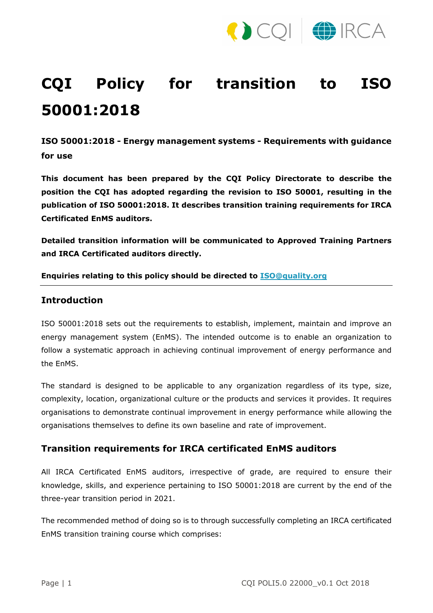

## **CQI Policy for transition to ISO 50001:2018**

**ISO 50001:2018 - Energy management systems - Requirements with guidance for use**

**This document has been prepared by the CQI Policy Directorate to describe the position the CQI has adopted regarding the revision to ISO 50001, resulting in the publication of ISO 50001:2018. It describes transition training requirements for IRCA Certificated EnMS auditors.** 

**Detailed transition information will be communicated to Approved Training Partners and IRCA Certificated auditors directly.**

**Enquiries relating to this policy should be directed to [ISO@quality.org](mailto:ISO@quality.org)**

## **Introduction**

ISO 50001:2018 sets out the requirements to establish, implement, maintain and improve an energy management system (EnMS). The intended outcome is to enable an organization to follow a systematic approach in achieving continual improvement of energy performance and the EnMS.

The standard is designed to be applicable to any organization regardless of its type, size, complexity, location, organizational culture or the products and services it provides. It requires organisations to demonstrate continual improvement in energy performance while allowing the organisations themselves to define its own baseline and rate of improvement.

## **Transition requirements for IRCA certificated EnMS auditors**

All IRCA Certificated EnMS auditors, irrespective of grade, are required to ensure their knowledge, skills, and experience pertaining to ISO 50001:2018 are current by the end of the three-year transition period in 2021.

The recommended method of doing so is to through successfully completing an IRCA certificated EnMS transition training course which comprises: